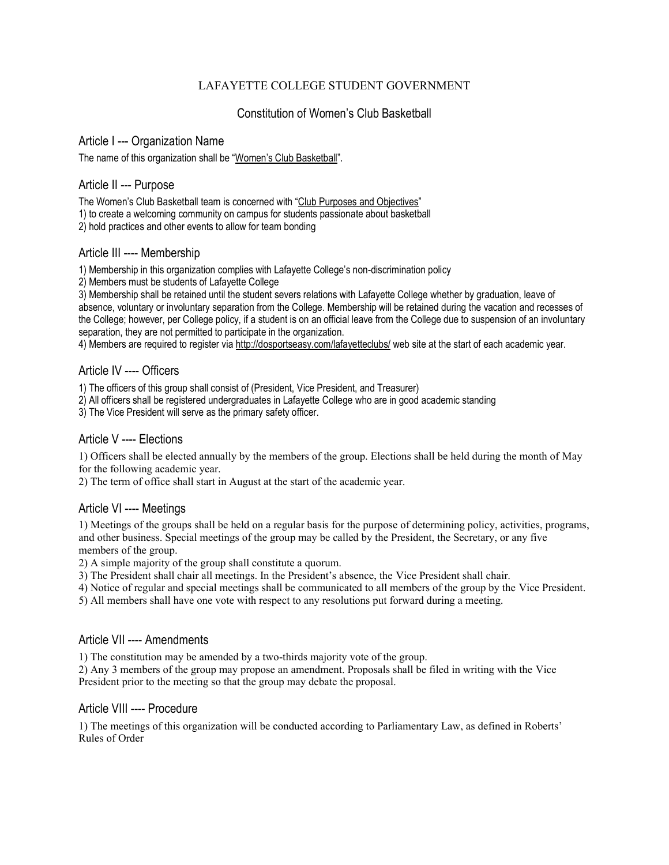# LAFAYETTE COLLEGE STUDENT GOVERNMENT

# Constitution of Women's Club Basketball

#### Article I --- Organization Name

The name of this organization shall be "Women's Club Basketball".

# Article II --- Purpose

The Women's Club Basketball team is concerned with "Club Purposes and Objectives" 1) to create a welcoming community on campus for students passionate about basketball

2) hold practices and other events to allow for team bonding

## Article III ---- Membership

1) Membership in this organization complies with Lafayette College's non-discrimination policy

2) Members must be students of Lafayette College

3) Membership shall be retained until the student severs relations with Lafayette College whether by graduation, leave of absence, voluntary or involuntary separation from the College. Membership will be retained during the vacation and recesses of the College; however, per College policy, if a student is on an official leave from the College due to suspension of an involuntary separation, they are not permitted to participate in the organization.

4) Members are required to register via http://dosportseasy.com/lafayetteclubs/ web site at the start of each academic year.

# Article IV ---- Officers

1) The officers of this group shall consist of (President, Vice President, and Treasurer)

2) All officers shall be registered undergraduates in Lafayette College who are in good academic standing

3) The Vice President will serve as the primary safety officer.

# Article V ---- Elections

1) Officers shall be elected annually by the members of the group. Elections shall be held during the month of May for the following academic year.

2) The term of office shall start in August at the start of the academic year.

## Article VI ---- Meetings

1) Meetings of the groups shall be held on a regular basis for the purpose of determining policy, activities, programs, and other business. Special meetings of the group may be called by the President, the Secretary, or any five members of the group.

2) A simple majority of the group shall constitute a quorum.

3) The President shall chair all meetings. In the President's absence, the Vice President shall chair.

4) Notice of regular and special meetings shall be communicated to all members of the group by the Vice President.

5) All members shall have one vote with respect to any resolutions put forward during a meeting.

## Article VII ---- Amendments

1) The constitution may be amended by a two-thirds majority vote of the group.

2) Any 3 members of the group may propose an amendment. Proposals shall be filed in writing with the Vice President prior to the meeting so that the group may debate the proposal.

## Article VIII ---- Procedure

1) The meetings of this organization will be conducted according to Parliamentary Law, as defined in Roberts' Rules of Order